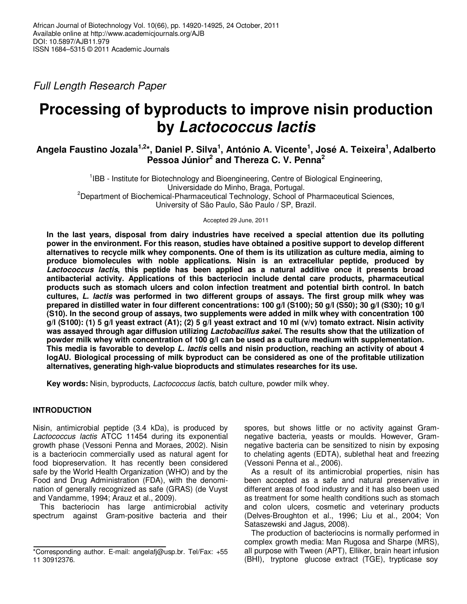Full Length Research Paper

# **Processing of byproducts to improve nisin production by Lactococcus lactis**

# **Angela Faustino Jozala1,2\*, Daniel P. Silva<sup>1</sup> , António A. Vicente<sup>1</sup> , José A. Teixeira<sup>1</sup> , Adalberto Pessoa Júnior<sup>2</sup> and Thereza C. V. Penna<sup>2</sup>**

<sup>1</sup>IBB - Institute for Biotechnology and Bioengineering, Centre of Biological Engineering, Universidade do Minho, Braga, Portugal. <sup>2</sup>Department of Biochemical-Pharmaceutical Technology, School of Pharmaceutical Sciences, University of São Paulo, São Paulo / SP, Brazil.

Accepted 29 June, 2011

**In the last years, disposal from dairy industries have received a special attention due its polluting power in the environment. For this reason, studies have obtained a positive support to develop different alternatives to recycle milk whey components. One of them is its utilization as culture media, aiming to produce biomolecules with noble applications. Nisin is an extracellular peptide, produced by Lactococcus lactis, this peptide has been applied as a natural additive once it presents broad antibacterial activity. Applications of this bacteriocin include dental care products, pharmaceutical products such as stomach ulcers and colon infection treatment and potential birth control. In batch cultures, L. lactis was performed in two different groups of assays. The first group milk whey was prepared in distilled water in four different concentrations: 100 g/l (S100); 50 g/l (S50); 30 g/l (S30); 10 g/l (S10). In the second group of assays, two supplements were added in milk whey with concentration 100 g/l (S100): (1) 5 g/l yeast extract (A1); (2) 5 g/l yeast extract and 10 ml (v/v) tomato extract. Nisin activity was assayed through agar diffusion utilizing Lactobacillus sakei. The results show that the utilization of powder milk whey with concentration of 100 g/l can be used as a culture medium with supplementation. This media is favorable to develop L. lactis cells and nisin production, reaching an activity of about 4 logAU. Biological processing of milk byproduct can be considered as one of the profitable utilization alternatives, generating high-value bioproducts and stimulates researches for its use.** 

**Key words:** Nisin, byproducts, Lactococcus lactis, batch culture, powder milk whey.

# **INTRODUCTION**

Nisin, antimicrobial peptide (3.4 kDa), is produced by Lactococcus lactis ATCC 11454 during its exponential growth phase (Vessoni Penna and Moraes, 2002). Nisin is a bacteriocin commercially used as natural agent for food biopreservation. It has recently been considered safe by the World Health Organization (WHO) and by the Food and Drug Administration (FDA), with the denomination of generally recognized as safe (GRAS) (de Vuyst and Vandamme, 1994; Arauz et al., 2009).

This bacteriocin has large antimicrobial activity spectrum against Gram-positive bacteria and their spores, but shows little or no activity against Gramnegative bacteria, yeasts or moulds. However, Gramnegative bacteria can be sensitized to nisin by exposing to chelating agents (EDTA), sublethal heat and freezing (Vessoni Penna et al., 2006).

As a result of its antimicrobial properties, nisin has been accepted as a safe and natural preservative in different areas of food industry and it has also been used as treatment for some health conditions such as stomach and colon ulcers, cosmetic and veterinary products (Delves-Broughton et al., 1996; Liu et al., 2004; Von Sataszewski and Jagus, 2008).

The production of bacteriocins is normally performed in complex growth media: Man Rugosa and Sharpe (MRS), all purpose with Tween (APT), Elliker, brain heart infusion (BHI), tryptone glucose extract (TGE), trypticase soy

<sup>\*</sup>Corresponding author. E-mail: angelafj@usp.br. Tel/Fax: +55 11 30912376.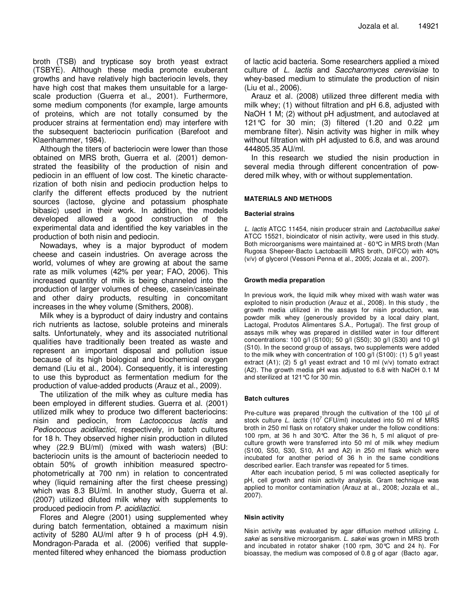broth (TSB) and trypticase soy broth yeast extract (TSBYE). Although these media promote exuberant growths and have relatively high bacteriocin levels, they have high cost that makes them unsuitable for a largescale production (Guerra et al., 2001). Furthermore, some medium components (for example, large amounts of proteins, which are not totally consumed by the producer strains at fermentation end) may interfere with the subsequent bacteriocin purification (Barefoot and Klaenhammer, 1984).

Although the titers of bacteriocin were lower than those obtained on MRS broth, Guerra et al. (2001) demonstrated the feasibility of the production of nisin and pediocin in an effluent of low cost. The kinetic characterization of both nisin and pediocin production helps to clarify the different effects produced by the nutrient sources (lactose, glycine and potassium phosphate bibasic) used in their work. In addition, the models developed allowed a good construction of the experimental data and identified the key variables in the production of both nisin and pediocin.

Nowadays, whey is a major byproduct of modern cheese and casein industries. On average across the world, volumes of whey are growing at about the same rate as milk volumes (42% per year; FAO, 2006). This increased quantity of milk is being channeled into the production of larger volumes of cheese, casein/caseinate and other dairy products, resulting in concomitant increases in the whey volume (Smithers, 2008).

Milk whey is a byproduct of dairy industry and contains rich nutrients as lactose, soluble proteins and minerals salts. Unfortunately, whey and its associated nutritional qualities have traditionally been treated as waste and represent an important disposal and pollution issue because of its high biological and biochemical oxygen demand (Liu et al., 2004). Consequently, it is interesting to use this byproduct as fermentation medium for the production of value-added products (Arauz et al., 2009).

The utilization of the milk whey as culture media has been employed in different studies. Guerra et al. (2001) utilized milk whey to produce two different bacteriocins: nisin and pediocin, from Lactococcus lactis and Pediococcus acidilactici, respectively, in batch cultures for 18 h. They observed higher nisin production in diluted whey (22.9 BU/ml) (mixed with wash waters) (BU: bacteriocin units is the amount of bacteriocin needed to obtain 50% of growth inhibition measured spectrophotometrically at 700 nm) in relation to concentrated whey (liquid remaining after the first cheese pressing) which was 8.3 BU/ml. In another study, Guerra et al. (2007) utilized diluted milk whey with supplements to produced pediocin from P. acidilactici.

Flores and Alegre (2001) using supplemented whey during batch fermentation, obtained a maximum nisin activity of 5280 AU/ml after 9 h of process (pH 4.9). Mondragon-Parada et al. (2006) verified that supplemented filtered whey enhanced the biomass production

of lactic acid bacteria. Some researchers applied a mixed culture of L. lactis and Saccharomyces cerevisiae to whey-based medium to stimulate the production of nisin (Liu et al., 2006).

Arauz et al. (2008) utilized three different media with milk whey; (1) without filtration and pH 6.8, adjusted with NaOH 1 M; (2) without pH adjustment, and autoclaved at 121°C for 30 min; (3) filtered (1.20 and 0.22 µm membrane filter). Nisin activity was higher in milk whey without filtration with pH adjusted to 6.8, and was around 444805.35 AU/ml.

In this research we studied the nisin production in several media through different concentration of powdered milk whey, with or without supplementation.

### **MATERIALS AND METHODS**

#### **Bacterial strains**

L. lactis ATCC 11454, nisin producer strain and Lactobacillus sakei ATCC 15521, bioindicator of nisin activity, were used in this study. Both microorganisms were maintained at - 60°C in MRS broth (Man Rugosa Shepeer-Bacto Lactobacilli MRS broth, DIFCO) with 40% (v/v) of glycerol (Vessoni Penna et al., 2005; Jozala et al., 2007).

#### **Growth media preparation**

In previous work, the liquid milk whey mixed with wash water was exploited to nisin production (Arauz et al., 2008). In this study , the growth media utilized in the assays for nisin production, was powder milk whey (generously provided by a local dairy plant, Lactogal, Produtos Alimentares S.A., Portugal). The first group of assays milk whey was prepared in distilled water in four different concentrations: 100 g/l (S100); 50 g/l (S50); 30 g/l (S30) and 10 g/l (S10). In the second group of assays, two supplements were added to the milk whey with concentration of 100 g/l (S100): (1) 5 g/l yeast extract (A1); (2) 5 g/l yeast extract and 10 ml (v/v) tomato extract (A2). The growth media pH was adjusted to 6.8 with NaOH 0.1 M and sterilized at 121°C for 30 min.

#### **Batch cultures**

Pre-culture was prepared through the cultivation of the 100 µl of stock culture L. lactis (10<sup>7</sup> CFU/ml) inoculated into 50 ml of MRS broth in 250 ml flask on rotatory shaker under the follow conditions: 100 rpm, at 36 h and 30°C. After the 36 h, 5 ml aliquot of preculture growth were transferred into 50 ml of milk whey medium (S100, S50, S30, S10, A1 and A2) in 250 ml flask which were incubated for another period of 36 h in the same conditions described earlier. Each transfer was repeated for 5 times.

After each incubation period, 5 ml was collected aseptically for pH, cell growth and nisin activity analysis. Gram technique was applied to monitor contamination (Arauz at al., 2008; Jozala et al., 2007).

#### **Nisin activity**

Nisin activity was evaluated by agar diffusion method utilizing L. sakei as sensitive microorganism. L. sakei was grown in MRS broth and incubated in rotator shaker (100 rpm, 30°C and 24 h). For bioassay, the medium was composed of 0.8 g of agar (Bacto agar,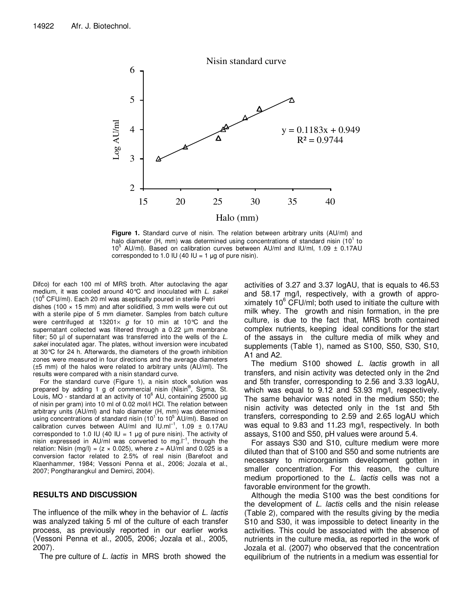

**Figure 1.** Standard curve of nisin. The relation between arbitrary units (AU/ml) and halo diameter (H, mm) was determined using concentrations of standard nisin (10 $1$  to 10<sup>5</sup> AU/ml). Based on calibration curves between AU/ml and IU/ml, 1.09 ± 0.17AU corresponded to 1.0 IU (40 IU = 1  $\mu$ g of pure nisin).

Difco) for each 100 ml of MRS broth. After autoclaving the agar medium, it was cooled around 40°C and inoculated with L. sakei  $(10^6 \text{ CFU/ml})$ . Each 20 ml was aseptically poured in sterile Petri dishes (100  $\times$  15 mm) and after solidified, 3 mm wells were cut out with a sterile pipe of 5 mm diameter. Samples from batch culture were centrifuged at 13201 $\times$  g for 10 min at 10°C and the supernatant collected was filtered through a 0.22 µm membrane filter; 50  $\mu$  of supernatant was transferred into the wells of the  $L$ . sakei inoculated agar. The plates, without inversion were incubated at 30°C for 24 h. Afterwards, the diameters of the growth inhibition zones were measured in four directions and the average diameters (±5 mm) of the halos were related to arbitrary units (AU/ml). The results were compared with a nisin standard curve.

For the standard curve (Figure 1), a nisin stock solution was prepared by adding 1 g of commercial nisin (Nisin®, Sigma, St. Louis, MO - standard at an activity of 10 $^6$  AU, containing 25000  $\mu$ g of nisin per gram) into 10 ml of 0.02 mol/l HCl. The relation between arbitrary units (AU/ml) and halo diameter (H, mm) was determined using concentrations of standard nisin (10<sup>1</sup> to 10<sup>5</sup> AU/ml). Based on<br>calibration curves between AU/ml and IU.ml<sup>-1</sup>, 1.09 ± 0.17AU corresponded to 1.0 IU (40 IU = 1  $\mu$ g of pure nisin). The activity of nisin expressed in AU/ml was converted to mg.<sup>[-1</sup>, through the relation: Nisin (mg/l) =  $(z \times 0.025)$ , where  $z = AU/ml$  and 0.025 is a conversion factor related to 2.5% of real nisin (Barefoot and Klaenhammer, 1984; Vessoni Penna et al., 2006; Jozala et al., 2007; Pongtharangkul and Demirci, 2004).

# **RESULTS AND DISCUSSION**

The influence of the milk whey in the behavior of L. lactis was analyzed taking 5 ml of the culture of each transfer process, as previously reported in our earlier works (Vessoni Penna et al., 2005, 2006; Jozala et al., 2005, 2007).

The pre culture of L. lactis in MRS broth showed the

activities of 3.27 and 3.37 logAU, that is equals to 46.53 and 58.17 mg/l, respectively, with a growth of approximately  $10^6$  CFU/ml; both used to initiate the culture with milk whey. The growth and nisin formation, in the pre culture, is due to the fact that, MRS broth contained complex nutrients, keeping ideal conditions for the start of the assays in the culture media of milk whey and supplements (Table 1), named as S100, S50, S30, S10, A1 and A2.

The medium S100 showed *L. lactis* growth in all transfers, and nisin activity was detected only in the 2nd and 5th transfer, corresponding to 2.56 and 3.33 logAU, which was equal to 9.12 and 53.93 mg/l, respectively. The same behavior was noted in the medium S50; the nisin activity was detected only in the 1st and 5th transfers, corresponding to 2.59 and 2.65 logAU which was equal to 9.83 and 11.23 mg/l, respectively. In both assays, S100 and S50, pH values were around 5.4.

For assays S30 and S10, culture medium were more diluted than that of S100 and S50 and some nutrients are necessary to microorganism development gotten in smaller concentration. For this reason, the culture medium proportioned to the L. lactis cells was not a favorable environment for the growth.

Although the media S100 was the best conditions for the development of L. lactis cells and the nisin release (Table 2), compared with the results giving by the media S10 and S30, it was impossible to detect linearity in the activities. This could be associated with the absence of nutrients in the culture media, as reported in the work of Jozala et al. (2007) who observed that the concentration equilibrium of the nutrients in a medium was essential for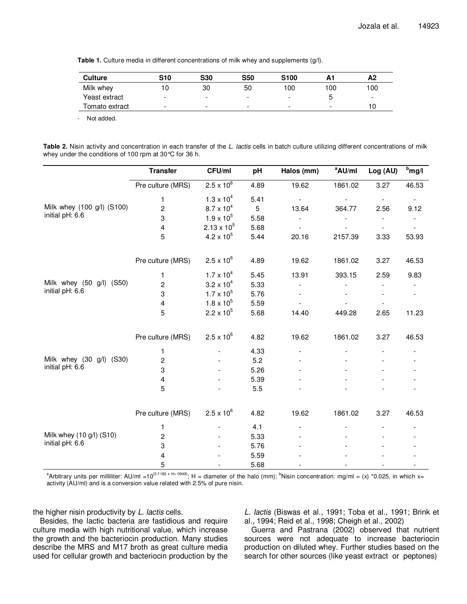**Table 1.** Culture media in different concentrations of milk whey and supplements (g/l).

| <b>Culture</b> | S10 | <b>S30</b>               | <b>S50</b>               | <b>S100</b> | Α1  | A2                       |
|----------------|-----|--------------------------|--------------------------|-------------|-----|--------------------------|
| Milk whey      | 10  | 30                       | 50                       | 100         | 100 | 100                      |
| Yeast extract  | -   | -                        | -                        | -           |     | $\overline{\phantom{0}}$ |
| Tomato extract | -   | $\overline{\phantom{a}}$ | $\overline{\phantom{a}}$ | -           | -   | 10                       |

- Not added.

|  | Table 2. Nisin activity and concentration in each transfer of the L. lactis cells in batch culture utilizing different concentrations of milk |  |  |  |  |  |  |
|--|-----------------------------------------------------------------------------------------------------------------------------------------------|--|--|--|--|--|--|
|  | whey under the conditions of 100 rpm at $30^{\circ}$ C for 36 h.                                                                              |  |  |  |  |  |  |

|                            | <b>Transfer</b>   | CFU/ml               | pH   | Halos (mm)               | <sup>a</sup> AU/ml | Log (AU)                 | $b$ mg/l       |
|----------------------------|-------------------|----------------------|------|--------------------------|--------------------|--------------------------|----------------|
|                            | Pre culture (MRS) | $2.5 \times 10^{6}$  | 4.89 | 19.62                    | 1861.02            | 3.27                     | 46.53          |
|                            | 1                 | $1.3 \times 10^{4}$  | 5.41 | $\overline{\phantom{a}}$ |                    | $\overline{\phantom{a}}$ |                |
| Milk whey (100 g/l) (S100) | $\overline{c}$    | $8.7 \times 10^{4}$  | 5    | 13.64                    | 364.77             | 2.56                     | 9.12           |
| initial pH: 6.6            | 3                 | $1.9 \times 10^{5}$  | 5.58 |                          |                    | $\overline{\phantom{a}}$ | $\blacksquare$ |
|                            | 4                 | $2.13 \times 10^{5}$ | 5.68 |                          |                    | $\overline{\phantom{a}}$ |                |
|                            | 5                 | $4.2 \times 10^{5}$  | 5.44 | 20.16                    | 2157.39            | 3.33                     | 53.93          |
|                            | Pre culture (MRS) | $2.5 \times 10^{6}$  | 4.89 | 19.62                    | 1861.02            | 3.27                     | 46.53          |
|                            | 1                 | $1.7 \times 10^{4}$  | 5.45 | 13.91                    | 393.15             | 2.59                     | 9.83           |
| Milk whey (50 g/l) (S50)   | 2                 | $3.2 \times 10^{4}$  | 5.33 |                          |                    |                          |                |
| initial pH: 6.6            | 3                 | $1.7 \times 10^{5}$  | 5.76 |                          |                    |                          |                |
|                            | 4                 | $1.8 \times 10^{5}$  | 5.59 |                          |                    |                          |                |
|                            | 5                 | $2.2 \times 10^{5}$  | 5.68 | 14.40                    | 449.28             | 2.65                     | 11.23          |
|                            | Pre culture (MRS) | $2.5 \times 10^{6}$  | 4.82 | 19.62                    | 1861.02            | 3.27                     | 46.53          |
|                            | 1                 |                      | 4.33 |                          |                    |                          |                |
| Milk whey (30 g/l) (S30)   | $\overline{c}$    |                      | 5.2  |                          |                    |                          |                |
| initial pH: 6.6            | 3                 |                      | 5.26 |                          |                    |                          |                |
|                            | 4                 |                      | 5.39 |                          |                    |                          |                |
|                            | 5                 |                      | 5.5  |                          |                    |                          |                |
|                            | Pre culture (MRS) | $2.5 \times 10^{6}$  | 4.82 | 19.62                    | 1861.02            | 3.27                     | 46.53          |
|                            | 1                 |                      | 4.1  |                          |                    |                          |                |
| Milk whey (10 g/l) (S10)   | 2                 |                      | 5.33 |                          |                    |                          |                |
| initial pH: 6.6            | 3                 |                      | 5.76 |                          |                    |                          |                |
|                            | 4                 |                      | 5.59 |                          |                    |                          |                |
|                            | 5                 |                      | 5.68 |                          |                    |                          |                |

<sup>a</sup>Arbitrary units per milliliter: AU/ml =10<sup>(0.1183 x H+ 0949)</sup>; H = diameter of the halo (mm); <sup>b</sup>Nisin concentration: mg/ml = (x) \*0.025, in which x= activity (AU/ml) and is a conversion value related with 2.5% of pure nisin.

the higher nisin productivity by L. lactis cells.

Besides, the lactic bacteria are fastidious and require culture media with high nutritional value, which increase the growth and the bacteriocin production. Many studies describe the MRS and M17 broth as great culture media used for cellular growth and bacteriocin production by the L. lactis (Biswas et al., 1991; Toba et al., 1991; Brink et al., 1994; Reid et al., 1998; Cheigh et al., 2002)

Guerra and Pastrana (2002) observed that nutrient sources were not adequate to increase bacteriocin production on diluted whey. Further studies based on the search for other sources (like yeast extract or peptones)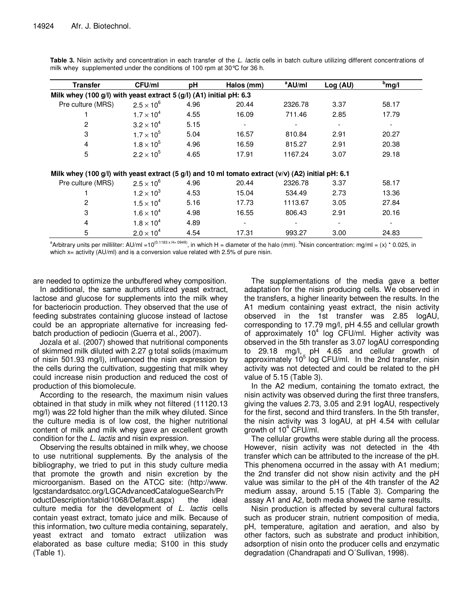| Transfer                                                                                           | CFU/ml              | рH   | Halos (mm) | <sup>a</sup> AU/ml | Log (AU) | <sup>b</sup> mg/l        |
|----------------------------------------------------------------------------------------------------|---------------------|------|------------|--------------------|----------|--------------------------|
| Milk whey (100 g/l) with yeast extract 5 (g/l) (A1) initial pH: 6.3                                |                     |      |            |                    |          |                          |
| Pre culture (MRS)                                                                                  | $2.5 \times 10^{6}$ | 4.96 | 20.44      | 2326.78            | 3.37     | 58.17                    |
|                                                                                                    | $1.7 \times 10^{4}$ | 4.55 | 16.09      | 711.46             | 2.85     | 17.79                    |
| 2                                                                                                  | $3.2 \times 10^{4}$ | 5.15 |            |                    |          |                          |
| 3                                                                                                  | $1.7 \times 10^{5}$ | 5.04 | 16.57      | 810.84             | 2.91     | 20.27                    |
| 4                                                                                                  | $1.8 \times 10^{5}$ | 4.96 | 16.59      | 815.27             | 2.91     | 20.38                    |
| 5                                                                                                  | $2.2 \times 10^{5}$ | 4.65 | 17.91      | 1167.24            | 3.07     | 29.18                    |
| Milk whey (100 g/l) with yeast extract (5 g/l) and 10 ml tomato extract (v/v) (A2) initial pH: 6.1 |                     |      |            |                    |          |                          |
| Pre culture (MRS)                                                                                  | $2.5 \times 10^6$   | 4.96 | 20.44      | 2326.78            | 3.37     | 58.17                    |
|                                                                                                    | $1.2 \times 10^{3}$ | 4.53 | 15.04      | 534.49             | 2.73     | 13.36                    |
| 2                                                                                                  | $1.5 \times 10^{4}$ | 5.16 | 17.73      | 1113.67            | 3.05     | 27.84                    |
| 3                                                                                                  | $1.6 \times 10^{4}$ | 4.98 | 16.55      | 806.43             | 2.91     | 20.16                    |
| 4                                                                                                  | $1.8 \times 10^{4}$ | 4.89 |            |                    |          | $\overline{\phantom{a}}$ |
| 5                                                                                                  | $2.0 \times 10^{4}$ | 4.54 | 17.31      | 993.27             | 3.00     | 24.83                    |

Table 3. Nisin activity and concentration in each transfer of the L. lactis cells in batch culture utilizing different concentrations of milk whey supplemented under the conditions of 100 rpm at 30°C for 36 h.

<sup>a</sup>Arbitrary units per milliliter: AU/ml =10<sup>(0.1183 x H+ 0949)</sup>, in which H = diameter of the halo (mm). <sup>b</sup>Nisin concentration: mg/ml = (x) \* 0.025, in which x= activity (AU/ml) and is a conversion value related with 2.5% of pure nisin.

are needed to optimize the unbuffered whey composition.

In additional, the same authors utilized yeast extract, lactose and glucose for supplements into the milk whey for bacteriocin production. They observed that the use of feeding substrates containing glucose instead of lactose could be an appropriate alternative for increasing fedbatch production of pediocin (Guerra et al., 2007).

Jozala et al. (2007) showed that nutritional components of skimmed milk diluted with 2.27 g total solids (maximum of nisin 501.93 mg/l), influenced the nisin expression by the cells during the cultivation, suggesting that milk whey could increase nisin production and reduced the cost of production of this biomolecule.

According to the research, the maximum nisin values obtained in that study in milk whey not filtered (11120.13 mg/l) was 22 fold higher than the milk whey diluted. Since the culture media is of low cost, the higher nutritional content of milk and milk whey gave an excellent growth condition for the L. lactis and nisin expression.

Observing the results obtained in milk whey, we choose to use nutritional supplements. By the analysis of the bibliography, we tried to put in this study culture media that promote the growth and nisin excretion by the microorganism. Based on the ATCC site: (http://www. lgcstandardsatcc.org/LGCAdvancedCatalogueSearch/Pr oductDescription/tabid/1068/Default.aspx) the ideal culture media for the development of L. lactis cells contain yeast extract, tomato juice and milk. Because of this information, two culture media containing, separately, yeast extract and tomato extract utilization was elaborated as base culture media; S100 in this study (Table 1).

The supplementations of the media gave a better adaptation for the nisin producing cells. We observed in the transfers, a higher linearity between the results. In the A1 medium containing yeast extract, the nisin activity observed in the 1st transfer was 2.85 logAU, corresponding to 17.79 mg/l, pH 4.55 and cellular growth of approximately  $10^4$  log CFU/ml. Higher activity was observed in the 5th transfer as 3.07 logAU corresponding to 29.18 mg/l, pH 4.65 and cellular growth of approximately 10<sup>5</sup> log CFU/ml. In the 2nd transfer, nisin activity was not detected and could be related to the pH value of 5.15 (Table 3).

In the A2 medium, containing the tomato extract, the nisin activity was observed during the first three transfers, giving the values 2.73, 3.05 and 2.91 logAU, respectively for the first, second and third transfers. In the 5th transfer, the nisin activity was 3 logAU, at pH 4.54 with cellular growth of 10<sup>4</sup> CFU/ml.

The cellular growths were stable during all the process. However, nisin activity was not detected in the 4th transfer which can be attributed to the increase of the pH. This phenomena occurred in the assay with A1 medium; the 2nd transfer did not show nisin activity and the pH value was similar to the pH of the 4th transfer of the A2 medium assay, around 5.15 (Table 3). Comparing the assay A1 and A2, both media showed the same results.

Nisin production is affected by several cultural factors such as producer strain, nutrient composition of media, pH, temperature, agitation and aeration, and also by other factors, such as substrate and product inhibition, adsorption of nisin onto the producer cells and enzymatic degradation (Chandrapati and O´Sullivan, 1998).